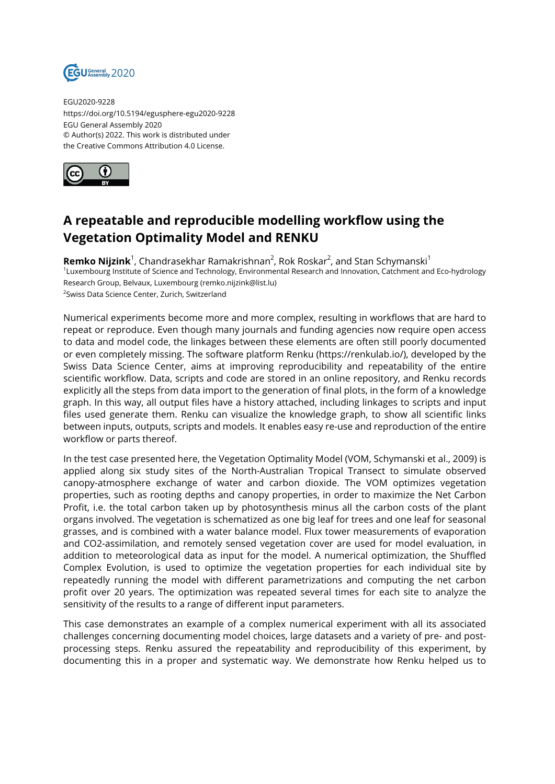

EGU2020-9228 https://doi.org/10.5194/egusphere-egu2020-9228 EGU General Assembly 2020 © Author(s) 2022. This work is distributed under the Creative Commons Attribution 4.0 License.



## **A repeatable and reproducible modelling workflow using the Vegetation Optimality Model and RENKU**

**Remko Nijzink**<sup>1</sup>, Chandrasekhar Ramakrishnan<sup>2</sup>, Rok Roskar<sup>2</sup>, and Stan Schymanski<sup>1</sup> 1 Luxembourg Institute of Science and Technology, Environmental Research and Innovation, Catchment and Eco-hydrology Research Group, Belvaux, Luxembourg (remko.nijzink@list.lu) 2 Swiss Data Science Center, Zurich, Switzerland

Numerical experiments become more and more complex, resulting in workflows that are hard to repeat or reproduce. Even though many journals and funding agencies now require open access to data and model code, the linkages between these elements are often still poorly documented or even completely missing. The software platform Renku (https://renkulab.io/), developed by the Swiss Data Science Center, aims at improving reproducibility and repeatability of the entire scientific workflow. Data, scripts and code are stored in an online repository, and Renku records explicitly all the steps from data import to the generation of final plots, in the form of a knowledge graph. In this way, all output files have a history attached, including linkages to scripts and input files used generate them. Renku can visualize the knowledge graph, to show all scientific links between inputs, outputs, scripts and models. It enables easy re-use and reproduction of the entire workflow or parts thereof.

In the test case presented here, the Vegetation Optimality Model (VOM, Schymanski et al., 2009) is applied along six study sites of the North-Australian Tropical Transect to simulate observed canopy-atmosphere exchange of water and carbon dioxide. The VOM optimizes vegetation properties, such as rooting depths and canopy properties, in order to maximize the Net Carbon Profit, i.e. the total carbon taken up by photosynthesis minus all the carbon costs of the plant organs involved. The vegetation is schematized as one big leaf for trees and one leaf for seasonal grasses, and is combined with a water balance model. Flux tower measurements of evaporation and CO2-assimilation, and remotely sensed vegetation cover are used for model evaluation, in addition to meteorological data as input for the model. A numerical optimization, the Shuffled Complex Evolution, is used to optimize the vegetation properties for each individual site by repeatedly running the model with different parametrizations and computing the net carbon profit over 20 years. The optimization was repeated several times for each site to analyze the sensitivity of the results to a range of different input parameters.

This case demonstrates an example of a complex numerical experiment with all its associated challenges concerning documenting model choices, large datasets and a variety of pre- and postprocessing steps. Renku assured the repeatability and reproducibility of this experiment, by documenting this in a proper and systematic way. We demonstrate how Renku helped us to